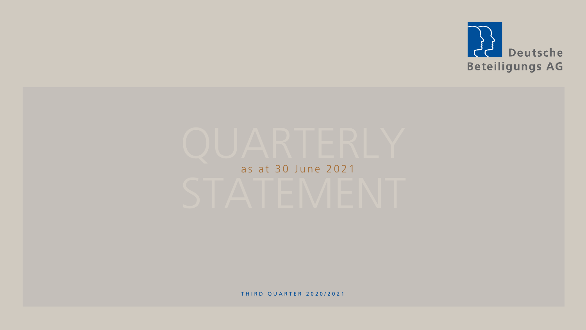

# as at 30 June 2021

THIRD OUARTER 2020/2021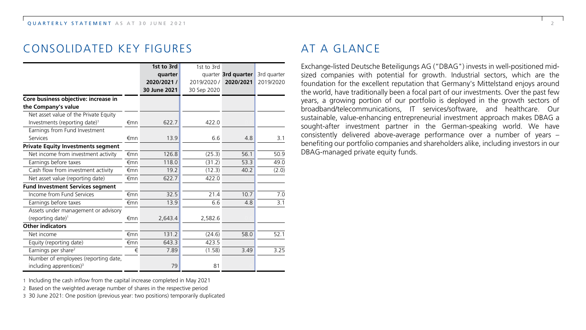# CONSOLIDATED KEY FIGURES

|                                                                             |     | 1st to 3rd   | 1st to 3rd  |                     |                  |
|-----------------------------------------------------------------------------|-----|--------------|-------------|---------------------|------------------|
|                                                                             |     | quarter      |             | quarter 3rd quarter | 3rd quarter      |
|                                                                             |     | 2020/2021 /  | 2019/2020 / | 2020/2021           | 2019/2020        |
|                                                                             |     | 30 June 2021 | 30 Sep 2020 |                     |                  |
| Core business objective: increase in<br>the Company's value                 |     |              |             |                     |                  |
| Net asset value of the Private Equity                                       |     |              |             |                     |                  |
| Investments (reporting date) <sup>1</sup>                                   | €mn | 622.7        | 422.0       |                     |                  |
| Earnings from Fund Investment                                               |     |              |             |                     |                  |
| Services                                                                    | €mn | 13.9         | 6.6         | 4.8                 | 3.1              |
| <b>Private Equity Investments segment</b>                                   |     |              |             |                     |                  |
| Net income from investment activity                                         | €mn | 126.8        | (25.3)      | 56.1                | 50.9             |
| Earnings before taxes                                                       | €mn | 118.0        | (31.2)      | 53.3                | 49.0             |
| Cash flow from investment activity                                          | €mn | 19.2         | (12.3)      | 40.2                | (2.0)            |
| Net asset value (reporting date)                                            | €mn | 622.7        | 422.0       |                     |                  |
| <b>Fund Investment Services segment</b>                                     |     |              |             |                     |                  |
| Income from Fund Services                                                   | €mn | 32.5         | 21.4        | 10.7                | $\overline{7.0}$ |
| Earnings before taxes                                                       | €mn | 13.9         | 6.6         | 4.8                 | 3.1              |
| Assets under management or advisory                                         |     |              |             |                     |                  |
| (reporting date) <sup>1</sup>                                               | €mn | 2,643.4      | 2,582.6     |                     |                  |
| <b>Other indicators</b>                                                     |     |              |             |                     |                  |
| Net income                                                                  | €mn | 131.2        | (24.6)      | 58.0                | 52.1             |
| Equity (reporting date)                                                     | €mn | 643.3        | 423.5       |                     |                  |
| Earnings per share <sup>2</sup>                                             | €   | 7.89         | (1.58)      | 3.49                | 3.25             |
| Number of employees (reporting date,<br>including apprentices) <sup>3</sup> |     | 79           | 81          |                     |                  |

# AT A GLANCE

Exchange-listed Deutsche Beteiligungs AG ("DBAG") invests in well-positioned midsized companies with potential for growth. Industrial sectors, which are the foundation for the excellent reputation that Germany's Mittelstand enjoys around the world, have traditionally been a focal part of our investments. Over the past few years, a growing portion of our portfolio is deployed in the growth sectors of broadband/telecommunications, IT services/software, and healthcare. Our sustainable, value-enhancing entrepreneurial investment approach makes DBAG a sought-after investment partner in the German-speaking world. We have consistently delivered above-average performance over a number of years – benefiting our portfolio companies and shareholders alike, including investors in our DBAG-managed private equity funds.

1 Including the cash inflow from the capital increase completed in May 2021

2 Based on the weighted average number of shares in the respective period

3 30 June 2021: One position (previous year: two positions) temporarily duplicated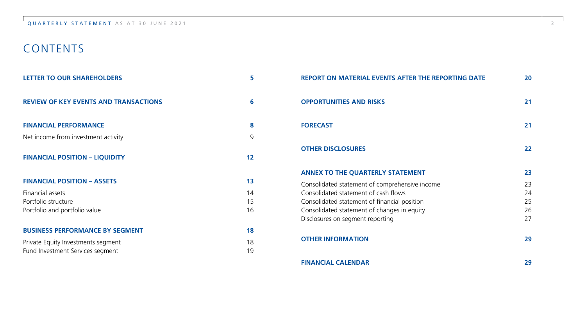# CONTENTS

| <b>LETTER TO OUR SHAREHOLDERS</b>            | 5  |
|----------------------------------------------|----|
| <b>REVIEW OF KEY EVENTS AND TRANSACTIONS</b> | 6  |
| <b>FINANCIAL PERFORMANCE</b>                 | 8  |
| Net income from investment activity          | 9  |
| <b>FINANCIAL POSITION - LIQUIDITY</b>        | 12 |
| <b>FINANCIAL POSITION - ASSETS</b>           | 13 |
| Financial assets                             | 14 |
| Portfolio structure                          | 15 |
| Portfolio and portfolio value                | 16 |
| <b>BUSINESS PERFORMANCE BY SEGMENT</b>       | 18 |
| Private Equity Investments segment           | 18 |
| Fund Investment Services segment             | 19 |

| <b>REPORT ON MATERIAL EVENTS AFTER THE REPORTING DATE</b>                                   | 20       |
|---------------------------------------------------------------------------------------------|----------|
| <b>OPPORTUNITIES AND RISKS</b>                                                              | 21       |
| <b>FORECAST</b>                                                                             | 21       |
| <b>OTHER DISCLOSURES</b>                                                                    | 22       |
| <b>ANNEX TO THE QUARTERLY STATEMENT</b>                                                     | 23       |
| Consolidated statement of comprehensive income                                              | 23       |
| Consolidated statement of cash flows                                                        | 24<br>25 |
| Consolidated statement of financial position<br>Consolidated statement of changes in equity | 26       |
| Disclosures on segment reporting                                                            | 27       |
| <b>OTHER INFORMATION</b>                                                                    | 29       |
| <b>FINANCIAL CALENDAR</b>                                                                   | 29       |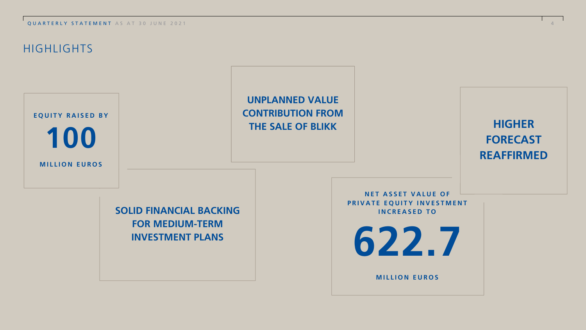**OUARTERLY STATEMENT** AS AT 30 JUNE 2021

# **HIGHLIGHTS**

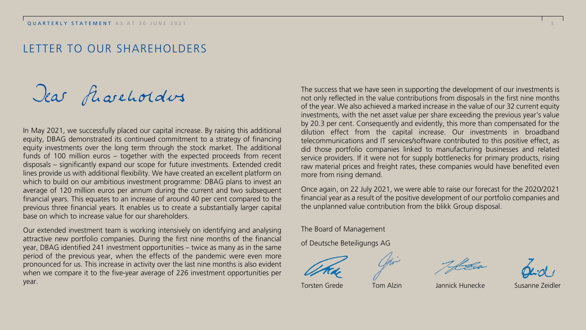# LETTER TO OUR SHAREHOLDERS

Dear flaveholders

In May 2021, we successfully placed our capital increase. By raising this additional equity, DBAG demonstrated its continued commitment to a strategy of financing equity investments over the long term through the stock market. The additional funds of 100 million euros – together with the expected proceeds from recent disposals – significantly expand our scope for future investments. Extended credit lines provide us with additional flexibility. We have created an excellent platform on which to build on our ambitious investment programme: DBAG plans to invest an average of 120 million euros per annum during the current and two subsequent financial years. This equates to an increase of around 40 per cent compared to the previous three financial years. It enables us to create a substantially larger capital base on which to increase value for our shareholders.

Our extended investment team is working intensively on identifying and analysing attractive new portfolio companies. During the first nine months of the financial year, DBAG identified 241 investment opportunities – twice as many as in the same period of the previous year, when the effects of the pandemic were even more pronounced for us. This increase in activity over the last nine months is also evident when we compare it to the five-year average of 226 investment opportunities per year.

The success that we have seen in supporting the development of our investments is not only reflected in the value contributions from disposals in the first nine months of the year. We also achieved a marked increase in the value of our 32 current equity investments, with the net asset value per share exceeding the previous year's value by 20.3 per cent. Consequently and evidently, this more than compensated for the dilution effect from the capital increase. Our investments in broadband telecommunications and IT services/software contributed to this positive effect, as did those portfolio companies linked to manufacturing businesses and related service providers. If it were not for supply bottlenecks for primary products, rising raw material prices and freight rates, these companies would have benefited even more from rising demand.

Once again, on 22 July 2021, we were able to raise our forecast for the 2020/2021 financial year as a result of the positive development of our portfolio companies and the unplanned value contribution from the blikk Group disposal.

The Board of Management

of Deutsche Beteiligungs AG

Torsten Grede Tom Alzin Jannick Hunecke Susanne Zeidler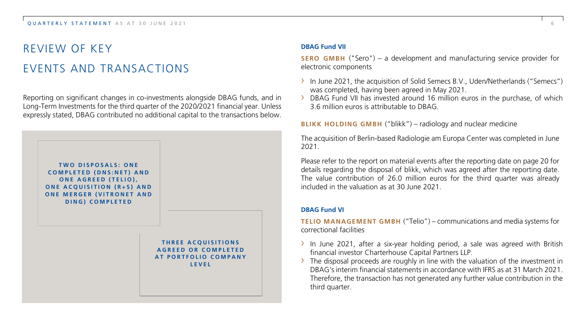# REVIEW OF KEY EVENTS AND TRANSACTIONS

Reporting on significant changes in co-investments alongside DBAG funds, and in Long-Term Investments for the third quarter of the 2020/2021 financial year. Unless expressly stated, DBAG contributed no additional capital to the transactions below.



#### **DBAG Fund VII**

**SERO GMBH** ("Sero") – a development and manufacturing service provider for electronic components

- › In June 2021, the acquisition of Solid Semecs B.V., Uden/Netherlands ("Semecs") was completed, having been agreed in May 2021.
- $\rightarrow$  DBAG Fund VII has invested around 16 million euros in the purchase, of which 3.6 million euros is attributable to DBAG.

#### **BLIKK HOLDING GMBH** ("blikk") – radiology and nuclear medicine

The acquisition of Berlin-based Radiologie am Europa Center was completed in June 2021.

Please refer to the report on material events after the reporting date on page 20 for details regarding the disposal of blikk, which was agreed after the reporting date. The value contribution of 26.0 million euros for the third quarter was already included in the valuation as at 30 June 2021.

#### **DBAG Fund VI**

**TELIO MANAGEMENT GMBH** ("Telio") – communications and media systems for correctional facilities

- $\rightarrow$  In June 2021, after a six-year holding period, a sale was agreed with British financial investor Charterhouse Capital Partners LLP.
- The disposal proceeds are roughly in line with the valuation of the investment in DBAG's interim financial statements in accordance with IFRS as at 31 March 2021. Therefore, the transaction has not generated any further value contribution in the third quarter.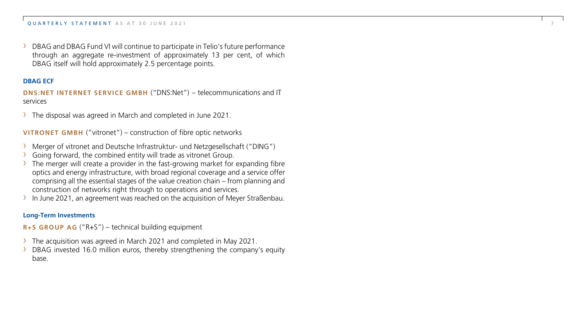DBAG and DBAG Fund VI will continue to participate in Telio's future performance through an aggregate re-investment of approximately 13 per cent, of which DBAG itself will hold approximately 2.5 percentage points.

7

#### **DBAG ECF**

**DNS:NET INTERNET SERVICE GMBH** ("DNS:Net") – telecommunications and IT services

› The disposal was agreed in March and completed in June 2021.

**VITRONET GMBH** ("vitronet") – construction of fibre optic networks

- Merger of vitronet and Deutsche Infrastruktur- und Netzgesellschaft ("DING")<br>Going forward, the combined entity will trade as vitronet Group.<br>The merger will create a provider in the fast-growing market for expanding fibre
- 
- optics and energy infrastructure, with broad regional coverage and a service offer comprising all the essential stages of the value creation chain – from planning and construction of networks right through to operations and services.
- $\rightarrow$  In June 2021, an agreement was reached on the acquisition of Meyer Straßenbau.

#### **Long-Term Investments**

**R+S GROUP AG** ("R+S") – technical building equipment

- 
- $\rightarrow$  The acquisition was agreed in March 2021 and completed in May 2021.<br>  $\rightarrow$  DBAG invested 16.0 million euros, thereby strengthening the company's equity base.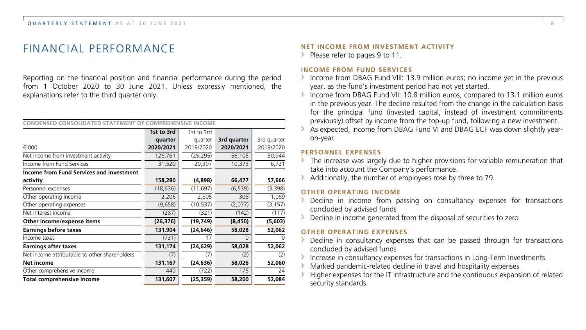# FINANCIAL PERFORMANCE

Reporting on the financial position and financial performance during the period from 1 October 2020 to 30 June 2021. Unless expressly mentioned, the explanations refer to the third quarter only.

| CONDENSED CONSOLIDATED<br><b>STATEMENT</b><br>MPREHENSIVE INCOME |            |            |               |             |  |  |
|------------------------------------------------------------------|------------|------------|---------------|-------------|--|--|
|                                                                  | 1st to 3rd | 1st to 3rd |               |             |  |  |
|                                                                  | quarter    | quarter    | 3rd quarter   | 3rd quarter |  |  |
| €'000                                                            | 2020/2021  | 2019/2020  | 2020/2021     | 2019/2020   |  |  |
| Net income from investment activity                              | 126,761    | (25, 295)  | 56,105        | 50,944      |  |  |
| Income from Fund Services                                        | 31,520     | 20,397     | 10,373        | 6,721       |  |  |
| <b>Income from Fund Services and investment</b>                  |            |            |               |             |  |  |
| activity                                                         | 158,280    | (4,898)    | 66,477        | 57,666      |  |  |
| Personnel expenses                                               | (18, 636)  | (11, 697)  | (6, 539)      | (3,398)     |  |  |
| Other operating income                                           | 2,206      | 2,805      | 308           | 1,069       |  |  |
| Other operating expenses                                         | (9,658)    | (10, 537)  | (2,077)       | (3, 157)    |  |  |
| Net interest income                                              | (287)      | (321)      | (142)         | (117)       |  |  |
| Other income/expense items                                       | (26, 376)  | (19,749)   | (8, 450)      | (5,603)     |  |  |
| <b>Earnings before taxes</b>                                     | 131,904    | (24, 646)  | 58,028        | 52,062      |  |  |
| Income taxes                                                     | (731)      | 17         | $\mathcal{L}$ | O           |  |  |
| <b>Earnings after taxes</b>                                      | 131,174    | (24, 629)  | 58,028        | 52,062      |  |  |
| Net income attributable to other shareholders                    | (7)        | (7)        | (2)           | (2)         |  |  |
| Net income                                                       | 131,167    | (24, 636)  | 58,026        | 52,060      |  |  |
| Other comprehensive income                                       | 440        | (722)      | 175           | 24          |  |  |
| <b>Total comprehensive income</b>                                | 131,607    | (25, 359)  | 58,200        | 52,084      |  |  |

#### **NET INCOME FROM INVESTMENT ACTIVITY**

> Please refer to pages 9 to 11.

#### **INCOME FROM FUND SERVICES**

- $\rightarrow$  Income from DBAG Fund VIII: 13.9 million euros; no income yet in the previous year, as the fund's investment period had not yet started.
- › Income from DBAG Fund VII: 10.8 million euros, compared to 13.1 million euros in the previous year. The decline resulted from the change in the calculation basis for the principal fund (invested capital, instead of investment commitments previously) offset by income from the top-up fund, following a new investment.
- › As expected, income from DBAG Fund VI and DBAG ECF was down slightly yearon-year.

#### **PERSONNEL EXPENSES**

- $\rightarrow$  The increase was largely due to higher provisions for variable remuneration that take into account the Company's performance.
- › Additionally, the number of employees rose by three to 79.

#### **OTHER OPERATING INCOME**

- › Decline in income from passing on consultancy expenses for transactions concluded by advised funds
- › Decline in income generated from the disposal of securities to zero

#### **OTHER OPERATING EXPENSES**

- $\rightarrow$  Decline in consultancy expenses that can be passed through for transactions concluded by advised funds
- › Increase in consultancy expenses for transactions in Long-Term Investments
- › Marked pandemic-related decline in travel and hospitality expenses
- Higher expenses for the IT infrastructure and the continuous expansion of related security standards.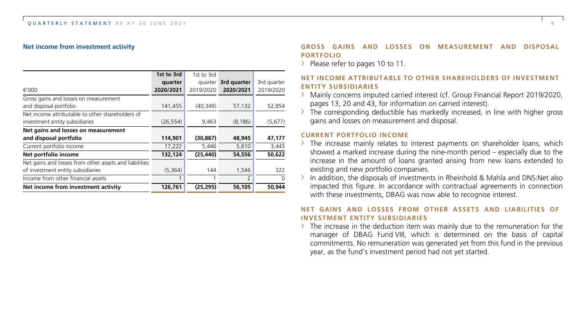#### **Net income from investment activity**

|                                                        | 1st to 3rd | 1st to 3rd |             |             |
|--------------------------------------------------------|------------|------------|-------------|-------------|
|                                                        | quarter    | quarter    | 3rd quarter | 3rd quarter |
| €'000                                                  | 2020/2021  | 2019/2020  | 2020/2021   | 2019/2020   |
| Gross gains and losses on measurement                  |            |            |             |             |
| and disposal portfolio                                 | 141,455    | (40, 349)  | 57,132      | 52,854      |
| Net income attributable to other shareholders of       |            |            |             |             |
| investment entity subsidiaries                         | (26, 554)  | 9,463      | (8, 186)    | (5,677)     |
| Net gains and losses on measurement                    |            |            |             |             |
| and disposal portfolio                                 | 114,901    | (30, 887)  | 48,945      | 47,177      |
| Current portfolio income                               | 17,222     | 5,446      | 5,610       | 3,445       |
| Net portfolio income                                   | 132,124    | (25, 440)  | 54,556      | 50,622      |
| Net gains and losses from other assets and liabilities |            |            |             |             |
| of investment entity subsidiaries                      | (5,364)    | 144        | 1,546       | 322         |
| Income from other financial assets                     |            |            | 2           | $\Omega$    |
| Net income from investment activity                    | 126,761    | (25, 295)  | 56,105      | 50,944      |

#### **GROSS GAINS AND LOSSES ON MEASUREMENT AND DISPOSAL PORTFOLIO**

> Please refer to pages 10 to 11.

#### **NET INCOME ATTRIBUTABLE TO OTHER SHAREHOLDERS OF INVESTMENT ENTITY SUBSIDIARIES**

- › Mainly concerns imputed carried interest (cf. Group Financial Report 2019/2020, pages 13, 20 and 43, for information on carried interest).
- $\rightarrow$  The corresponding deductible has markedly increased, in line with higher gross gains and losses on measurement and disposal.

#### **CURRENT PORTFOLIO INCOME**

- $\rightarrow$  The increase mainly relates to interest payments on shareholder loans, which showed a marked increase during the nine-month period – especially due to the increase in the amount of loans granted arising from new loans extended to existing and new portfolio companies.
- $\rightarrow$  In addition, the disposals of investments in Rheinhold & Mahla and DNS:Net also impacted this figure. In accordance with contractual agreements in connection with these investments, DBAG was now able to recognise interest.

#### **NET GAINS AND LOSSES FROM OTHER ASSETS AND LIABILITIES OF INVESTMENT ENTITY SUBSIDIARIES**

 $\rightarrow$  The increase in the deduction item was mainly due to the remuneration for the manager of DBAG Fund VIII, which is determined on the basis of capital commitments. No remuneration was generated yet from this fund in the previous year, as the fund's investment period had not yet started.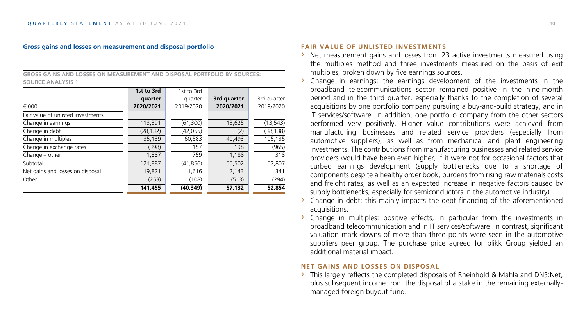#### **Gross gains and losses on measurement and disposal portfolio**

**GROSS GAINS AND LOSSES ON MEASUREMENT AND DISPOSAL PORTFOLIO BY SOURCES: SOURCE ANALYSIS 1**

|                                    | 1st to 3rd | 1st to 3rd |             |             |
|------------------------------------|------------|------------|-------------|-------------|
|                                    | quarter    | quarter    | 3rd quarter | 3rd quarter |
| €'000                              | 2020/2021  | 2019/2020  | 2020/2021   | 2019/2020   |
| Fair value of unlisted investments |            |            |             |             |
| Change in earnings                 | 113,391    | (61, 300)  | 13,625      | (13, 543)   |
| Change in debt                     | (28, 132)  | (42, 055)  | (2)         | (38, 138)   |
| Change in multiples                | 35,139     | 60,583     | 40,493      | 105,135     |
| Change in exchange rates           | (398)      | 157        | 198         | (965)       |
| $Change - other$                   | 1,887      | 759        | 1,188       | 318         |
| Subtotal                           | 121,887    | (41, 856)  | 55,502      | 52,807      |
| Net gains and losses on disposal   | 19,821     | 1,616      | 2,143       | 341         |
| Other                              | (253)      | (108)      | (513)       | (294)       |
|                                    | 141,455    | (40,349)   | 57,132      | 52,854      |

#### **FAIR VALUE OF UNLISTED INVESTMENTS**

- › Net measurement gains and losses from 23 active investments measured using the multiples method and three investments measured on the basis of exit multiples, broken down by five earnings sources.
- $\rightarrow$  Change in earnings: the earnings development of the investments in the broadband telecommunications sector remained positive in the nine-month period and in the third quarter, especially thanks to the completion of several acquisitions by one portfolio company pursuing a buy-and-build strategy, and in IT services/software. In addition, one portfolio company from the other sectors performed very positively. Higher value contributions were achieved from manufacturing businesses and related service providers (especially from automotive suppliers), as well as from mechanical and plant engineering investments. The contributions from manufacturing businesses and related service providers would have been even higher, if it were not for occasional factors that curbed earnings development (supply bottlenecks due to a shortage of components despite a healthy order book, burdens from rising raw materials costs and freight rates, as well as an expected increase in negative factors caused by supply bottlenecks, especially for semiconductors in the automotive industry).
- $\rightarrow$  Change in debt: this mainly impacts the debt financing of the aforementioned acquisitions.
- $\rightarrow$  Change in multiples: positive effects, in particular from the investments in broadband telecommunication and in IT services/software. In contrast, significant valuation mark-downs of more than three points were seen in the automotive suppliers peer group. The purchase price agreed for blikk Group yielded an additional material impact.

#### **NET GAINS AND LOSSES ON DISPOSAL**

› This largely reflects the completed disposals of Rheinhold & Mahla and DNS:Net, plus subsequent income from the disposal of a stake in the remaining externallymanaged foreign buyout fund.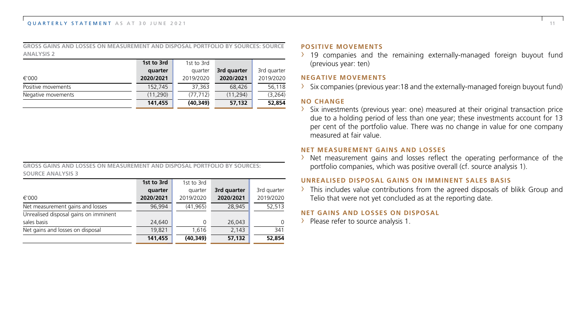**GROSS GAINS AND LOSSES ON MEASUREMENT AND DISPOSAL PORTFOLIO BY SOURCES: SOURCE ANALYSIS 2**

|                    | 1st to 3rd | 1st to 3rd |             |             |
|--------------------|------------|------------|-------------|-------------|
|                    | quarter    | quarter    | 3rd quarter | 3rd quarter |
| €'000              | 2020/2021  | 2019/2020  | 2020/2021   | 2019/2020   |
| Positive movements | 152,745    | 37.363     | 68,426      | 56,118      |
| Negative movements | (11, 290)  | (77, 712)  | (11, 294)   | (3, 264)    |
|                    | 141,455    | (40, 349)  | 57,132      | 52,854      |

**GROSS GAINS AND LOSSES ON MEASUREMENT AND DISPOSAL PORTFOLIO BY SOURCES: SOURCE ANALYSIS 3**

|                                       | 1st to 3rd | 1st to 3rd |             |             |
|---------------------------------------|------------|------------|-------------|-------------|
|                                       | quarter    | quarter    | 3rd quarter | 3rd quarter |
| €'000                                 | 2020/2021  | 2019/2020  | 2020/2021   | 2019/2020   |
| Net measurement gains and losses      | 96.994     | (41,965)   | 28,945      | 52,513      |
| Unrealised disposal gains on imminent |            |            |             |             |
| sales basis                           | 24,640     | $\Omega$   | 26,043      | $\Omega$    |
| Net gains and losses on disposal      | 19.821     | 1.616      | 2,143       | 341         |
|                                       | 141,455    | (40, 349)  | 57,132      | 52,854      |

#### **POSITIVE MOVEMENTS**

 $\rightarrow$  19 companies and the remaining externally-managed foreign buyout fund (previous year: ten)

#### **NEGATIVE MOVEMENTS**

 $\rightarrow$  Six companies (previous year:18 and the externally-managed foreign buyout fund)

#### **NO CHANGE**

 $\rightarrow$  Six investments (previous year: one) measured at their original transaction price due to a holding period of less than one year; these investments account for 13 per cent of the portfolio value. There was no change in value for one company measured at fair value.

#### **NET MEASUREMENT GAINS AND LOSSES**

 $\rightarrow$  Net measurement gains and losses reflect the operating performance of the portfolio companies, which was positive overall (cf. source analysis 1).

#### **UNREALISED DISPOSAL GAINS ON IMMINENT SALES BASIS**

 $\rightarrow$  This includes value contributions from the agreed disposals of blikk Group and Telio that were not yet concluded as at the reporting date.

#### **NET GAINS AND LOSSES ON DISPOSAL**

> Please refer to source analysis 1.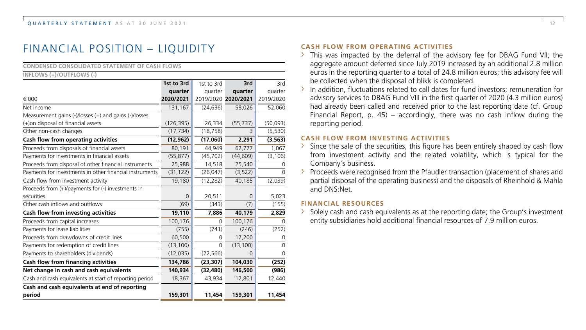# FINANCIAL POSITION – LIQUIDITY

| <b>CONDENSED CONSOLIDATED STATEMENT OF CASH FLOWS</b>   |              |            |                     |              |
|---------------------------------------------------------|--------------|------------|---------------------|--------------|
| INFLOWS (+)/OUTFLOWS (-)                                |              |            |                     |              |
|                                                         | 1st to 3rd   | 1st to 3rd | 3rd                 | 3rd          |
|                                                         | quarter      | quarter    | quarter             | quarter      |
| €'000                                                   | 2020/2021    |            | 2019/2020 2020/2021 | 2019/2020    |
| Net income                                              | 131,167      | (24, 636)  | 58,026              | 52,060       |
| Measurement gains (-)/losses (+) and gains (-)/losses   |              |            |                     |              |
| (+)on disposal of financial assets                      | (126, 395)   | 26,334     | (55, 737)           | (50,093)     |
| Other non-cash changes                                  | (17, 734)    | (18, 758)  | $\overline{z}$      | (5, 530)     |
| Cash flow from operating activities                     | (12, 962)    | (17,060)   | 2,291               | (3, 563)     |
| Proceeds from disposals of financial assets             | 80,191       | 44,949     | 62,777              | 1,067        |
| Payments for investments in financial assets            | (55, 877)    | (45, 702)  | (44, 609)           | (3, 106)     |
| Proceeds from disposal of other financial instruments   | 25,988       | 14,518     | 25,540              | 0            |
| Payments for investments in other financial instruments | (31, 122)    | (26, 047)  | (3, 522)            | <sup>n</sup> |
| Cash flow from investment activity                      | 19,180       | (12, 282)  | 40,185              | (2,039)      |
| Proceeds from (+)/payments for (-) investments in       |              |            |                     |              |
| securities                                              | $\mathbf{0}$ | 20,511     | $\mathbf 0$         | 5,023        |
| Other cash inflows and outflows                         | (69)         | (343)      | (7)                 | (155)        |
| Cash flow from investing activities                     | 19,110       | 7.886      | 40.179              | 2,829        |
| Proceeds from capital increases                         | 100,176      | $\Omega$   | 100,176             | 0            |
| Payments for lease liabilities                          | (755)        | (741)      | (246)               | (252)        |
| Proceeds from drawdowns of credit lines                 | 60,500       | $\Omega$   | 17,200              | 0            |
| Payments for redemption of credit lines                 | (13, 100)    | $\Omega$   | (13, 100)           | $\Omega$     |
| Payments to shareholders (dividends)                    | (12, 035)    | (22, 566)  | 0                   | $\Omega$     |
| Cash flow from financing activities                     | 134,786      | (23, 307)  | 104,030             | (252)        |
| Net change in cash and cash equivalents                 | 140,934      | (32, 480)  | 146,500             | (986)        |
| Cash and cash equivalents at start of reporting period  | 18,367       | 43,934     | 12,801              | 12,440       |
| Cash and cash equivalents at end of reporting           |              |            |                     |              |
| period                                                  | 159,301      | 11,454     | 159,301             | 11,454       |

#### **CASH FLOW FROM OPERATING ACTIVITIES**

- › This was impacted by the deferral of the advisory fee for DBAG Fund VII; the aggregate amount deferred since July 2019 increased by an additional 2.8 million euros in the reporting quarter to a total of 24.8 million euros; this advisory fee will be collected when the disposal of blikk is completed.
- $\rightarrow$  In addition, fluctuations related to call dates for fund investors; remuneration for advisory services to DBAG Fund VIII in the first quarter of 2020 (4.3 million euros) had already been called and received prior to the last reporting date (cf. Group Financial Report, p. 45) – accordingly, there was no cash inflow during the reporting period.

#### **CASH FLOW FROM INVESTING ACTIVITIES**

- $\rightarrow$  Since the sale of the securities, this figure has been entirely shaped by cash flow from investment activity and the related volatility, which is typical for the Company's business.
- $\rightarrow$  Proceeds were recognised from the Pfaudler transaction (placement of shares and partial disposal of the operating business) and the disposals of Rheinhold & Mahla and DNS:Net.

#### **FINANCIAL RESOURCES**

 $\rightarrow$  Solely cash and cash equivalents as at the reporting date; the Group's investment entity subsidiaries hold additional financial resources of 7.9 million euros.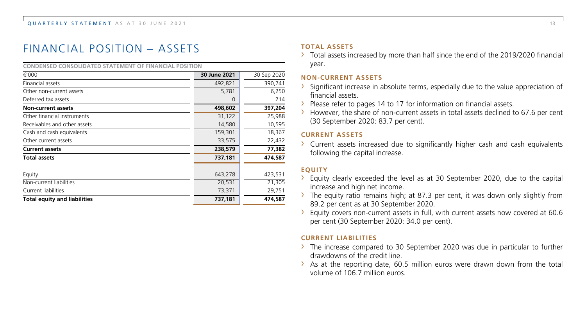# FINANCIAL POSITION – ASSETS

| CONDENSED CONSOLIDATED STATEMENT OF FINANCIAL POSITION |              |             |
|--------------------------------------------------------|--------------|-------------|
| €'000                                                  | 30 June 2021 | 30 Sep 2020 |
| Financial assets                                       | 492,821      | 390,741     |
| Other non-current assets                               | 5,781        | 6,250       |
| Deferred tax assets                                    | $\Omega$     | 214         |
| <b>Non-current assets</b>                              | 498,602      | 397,204     |
| Other financial instruments                            | 31,122       | 25,988      |
| Receivables and other assets                           | 14,580       | 10,595      |
| Cash and cash equivalents                              | 159,301      | 18,367      |
| Other current assets                                   | 33,575       | 22,432      |
| <b>Current assets</b>                                  | 238,579      | 77,382      |
| <b>Total assets</b>                                    | 737,181      | 474,587     |
| Equity                                                 | 643,278      | 423,531     |
| Non-current liabilities                                | 20,531       | 21,305      |
| Current liabilities                                    | 73,371       | 29,751      |
| <b>Total equity and liabilities</b>                    | 737,181      | 474,587     |

#### **TOTAL ASSETS**

› Total assets increased by more than half since the end of the 2019/2020 financial year.

#### **NON-CURRENT ASSETS**

- $\rightarrow$  Significant increase in absolute terms, especially due to the value appreciation of financial assets.
- › Please refer to pages 14 to 17 for information on financial assets.
- $\rightarrow$  However, the share of non-current assets in total assets declined to 67.6 per cent (30 September 2020: 83.7 per cent).

#### **CURRENT ASSETS**

› Current assets increased due to significantly higher cash and cash equivalents following the capital increase.

#### **EQUITY**

- $\rightarrow$  Equity clearly exceeded the level as at 30 September 2020, due to the capital increase and high net income.
- $\rightarrow$  The equity ratio remains high; at 87.3 per cent, it was down only slightly from 89.2 per cent as at 30 September 2020.
- › Equity covers non-current assets in full, with current assets now covered at 60.6 per cent (30 September 2020: 34.0 per cent).

#### **CURRENT LIABILITIES**

- $\rightarrow$  The increase compared to 30 September 2020 was due in particular to further drawdowns of the credit line.
- › As at the reporting date, 60.5 million euros were drawn down from the total volume of 106.7 million euros.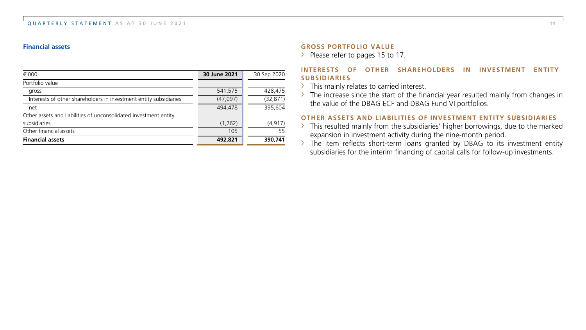#### **Financial assets**

| €'000                                                             | 30 June 2021 | 30 Sep 2020 |
|-------------------------------------------------------------------|--------------|-------------|
| Portfolio value                                                   |              |             |
| gross                                                             | 541,575      | 428,475     |
| Interests of other shareholders in investment entity subsidiaries | (47,097)     | (32, 871)   |
| net                                                               | 494,478      | 395.604     |
| Other assets and liabilities of unconsolidated investment entity  |              |             |
| subsidiaries                                                      | (1,762)      | (4, 917)    |
| Other financial assets                                            | 105          | 55          |
| <b>Financial assets</b>                                           | 492,821      | 390,741     |

#### **GROSS PORTFOLIO VALUE**

› Please refer to pages 15 to 17.

#### **INTERESTS OF OTHER SHAREHOLDERS IN INVESTMENT ENTITY SUBSIDIARIES**

- > This mainly relates to carried interest.
- $\rightarrow$  The increase since the start of the financial year resulted mainly from changes in the value of the DBAG ECF and DBAG Fund VI portfolios.

#### **OTHER ASSETS AND LIABILITIES OF INVESTMENT ENTITY SUBSIDIARIES**

- $\rightarrow$  This resulted mainly from the subsidiaries' higher borrowings, due to the marked expansion in investment activity during the nine-month period.
- › The item reflects short-term loans granted by DBAG to its investment entity subsidiaries for the interim financing of capital calls for follow-up investments.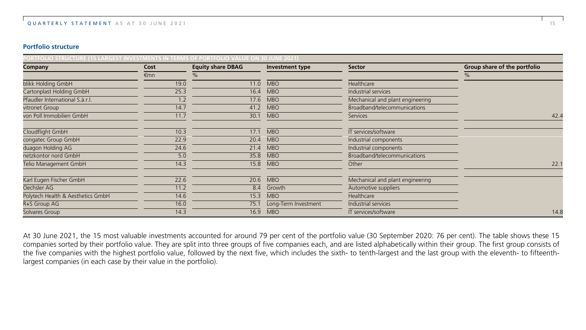#### **Portfolio structure**

| PORTFOLIO STRUCTURE (15 LARGEST INVESTMENTS IN TERMS OF PORTFOLIO VALUE ON 30 JUNE 2021) |      |                          |                      |                                  |                              |
|------------------------------------------------------------------------------------------|------|--------------------------|----------------------|----------------------------------|------------------------------|
| Company                                                                                  | Cost | <b>Equity share DBAG</b> | Investment type      | Sector                           | Group share of the portfolio |
|                                                                                          | €mn  | $\%$                     |                      |                                  | %                            |
| blikk Holding GmbH                                                                       | 19.0 | 11.0                     | <b>MBO</b>           | Healthcare                       |                              |
| Cartonplast Holding GmbH                                                                 | 25.3 | 16.4                     | <b>MBO</b>           | Industrial services              |                              |
| Pfaudler International S.à.r.l.                                                          | 1.2  | 17.6                     | <b>MBO</b>           | Mechanical and plant engineering |                              |
| vitronet Group                                                                           | 14.7 | 41.2                     | <b>MBO</b>           | Broadband/telecommunications     |                              |
| von Poll Immobilien GmbH                                                                 | 11.7 | 30.1                     | <b>MBO</b>           | <b>Services</b>                  | 42.4                         |
| Cloudflight GmbH                                                                         | 10.3 | 17.1                     | <b>MBO</b>           | IT services/software             |                              |
| congatec Group GmbH                                                                      | 22.9 | 20.4                     | <b>MBO</b>           | Industrial components            |                              |
| duagon Holding AG                                                                        | 24.6 | 21.4                     | <b>MBO</b>           | Industrial components            |                              |
| netzkontor nord GmbH                                                                     | 5.0  | 35.8                     | <b>MBO</b>           | Broadband/telecommunications     |                              |
| Telio Management GmbH                                                                    | 14.3 | 15.8                     | <b>MBO</b>           | Other                            | 22.1                         |
| Karl Eugen Fischer GmbH                                                                  | 22.6 | 20.6                     | <b>MBO</b>           | Mechanical and plant engineering |                              |
| Oechsler AG                                                                              | 11.2 | 8.4                      | Growth               | Automotive suppliers             |                              |
| Polytech Health & Aesthetics GmbH                                                        | 14.6 | 15.3                     | <b>MBO</b>           | Healthcare                       |                              |
| R+S Group AG                                                                             | 16.0 | 75.1                     | Long-Term Investment | Industrial services              |                              |
| Solvares Group                                                                           | 14.3 | 16.9                     | <b>MBO</b>           | IT services/software             | 14.8                         |

At 30 June 2021, the 15 most valuable investments accounted for around 79 per cent of the portfolio value (30 September 2020: 76 per cent). The table shows these 15 companies sorted by their portfolio value. They are split into three groups of five companies each, and are listed alphabetically within their group. The first group consists of the five companies with the highest portfolio value, followed by the next five, which includes the sixth- to tenth-largest and the last group with the eleventh- to fifteenthlargest companies (in each case by their value in the portfolio).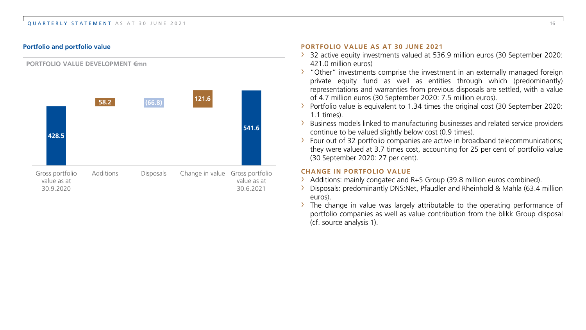#### QUARTERLY STATEMENT AS AT 30 JUNE 2021 16



#### **PORTFOLIO VALUE DEVELOPMENT €mn**

#### **Portfolio and portfolio value PORTFOLIO VALUE AS AT 30 JUNE 2021**

- › 32 active equity investments valued at 536.9 million euros (30 September 2020: 421.0 million euros)
- › "Other" investments comprise the investment in an externally managed foreign private equity fund as well as entities through which (predominantly) representations and warranties from previous disposals are settled, with a value of 4.7 million euros (30 September 2020: 7.5 million euros).
- $\rightarrow$  Portfolio value is equivalent to 1.34 times the original cost (30 September 2020: 1.1 times).
- Business models linked to manufacturing businesses and related service providers continue to be valued slightly below cost (0.9 times).
- › Four out of 32 portfolio companies are active in broadband telecommunications; they were valued at 3.7 times cost, accounting for 25 per cent of portfolio value (30 September 2020: 27 per cent).

#### **CHANGE IN PORTFOLIO VALUE**

- › Additions: mainly congatec and R+S Group (39.8 million euros combined).
- › Disposals: predominantly DNS:Net, Pfaudler and Rheinhold & Mahla (63.4 million euros).
- $\rightarrow$  The change in value was largely attributable to the operating performance of portfolio companies as well as value contribution from the blikk Group disposal (cf. source analysis 1).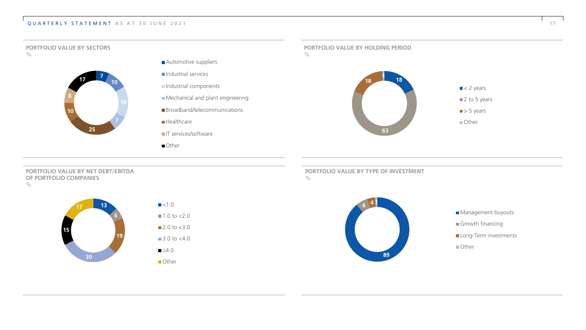#### QUARTERLY STATEMENT AS AT 30 JUNE 2021 17 17



**PORTFOLIO VALUE BY NET DEBT/EBITDA OF PORTFOLIO COMPANIES**  $\frac{0}{0}$ 





**Other** 

**PORTFOLIO VALUE BY TYPE OF INVESTMENT**  $\frac{1}{2}$ 



Management buyouts Growth financing Long-Term investments **Other**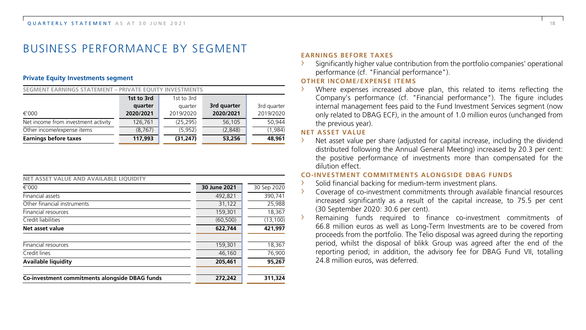# BUSINESS PERFORMANCE BY SEGMENT

#### **Private Equity Investments segment**

| SEGMENT EARNINGS STATEMENT - PRIVATE EOUITY INVESTMENTS |            |            |             |             |  |
|---------------------------------------------------------|------------|------------|-------------|-------------|--|
|                                                         | 1st to 3rd | 1st to 3rd |             |             |  |
|                                                         | quarter    | quarter    | 3rd quarter | 3rd quarter |  |
| €'000                                                   | 2020/2021  | 2019/2020  | 2020/2021   | 2019/2020   |  |
| Net income from investment activity                     | 126.761    | (25, 295)  | 56,105      | 50.944      |  |
| Other income/expense items                              | (8, 767)   | (5, 952)   | (2,848)     | (1,984)     |  |
| <b>Earnings before taxes</b>                            | 117,993    | (31, 247)  | 53,256      | 48,961      |  |

| NET ASSET VALUE AND AVAILABLE LIOUIDITY        |              |             |
|------------------------------------------------|--------------|-------------|
| €'000                                          | 30 June 2021 | 30 Sep 2020 |
| <b>Financial assets</b>                        | 492,821      | 390,741     |
| Other financial instruments                    | 31,122       | 25.988      |
| <b>Financial resources</b>                     | 159,301      | 18,367      |
| Credit liabilities                             | (60, 500)    | (13, 100)   |
| Net asset value                                | 622,744      | 421.997     |
| Financial resources                            | 159,301      | 18,367      |
| Credit lines                                   | 46,160       | 76,900      |
| <b>Available liquidity</b>                     | 205,461      | 95,267      |
| Co-investment commitments alongside DBAG funds | 272,242      | 311,324     |

#### **EARNINGS BEFORE TAXES**

› Significantly higher value contribution from the portfolio companies' operational performance (cf. "Financial performance").

#### **OTHER INCOME/EXPENSE ITEMS**

Where expenses increased above plan, this related to items reflecting the Company's performance (cf. "Financial performance"). The figure includes internal management fees paid to the Fund Investment Services segment (now only related to DBAG ECF), in the amount of 1.0 million euros (unchanged from the previous year).

#### **NET ASSET VALUE**

Net asset value per share (adjusted for capital increase, including the dividend distributed following the Annual General Meeting) increased by 20.3 per cent: the positive performance of investments more than compensated for the dilution effect.

#### **CO-INVESTMENT COMMITMENTS ALONGSIDE DBAG FUNDS**

- › Solid financial backing for medium-term investment plans.
- Coverage of co-investment commitments through available financial resources increased significantly as a result of the capital increase, to 75.5 per cent (30 September 2020: 30.6 per cent).
- Remaining funds required to finance co-investment commitments of 66.8 million euros as well as Long-Term Investments are to be covered from proceeds from the portfolio. The Telio disposal was agreed during the reporting period, whilst the disposal of blikk Group was agreed after the end of the reporting period; in addition, the advisory fee for DBAG Fund VII, totalling 24.8 million euros, was deferred.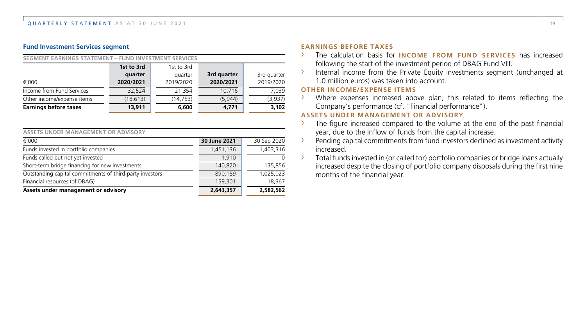#### **Fund Investment Services segment**

| SEGMENT EARNINGS STATEMENT - FUND INVESTMENT SERVICES |            |            |             |             |
|-------------------------------------------------------|------------|------------|-------------|-------------|
|                                                       | 1st to 3rd | 1st to 3rd |             |             |
|                                                       | quarter    | quarter    | 3rd quarter | 3rd quarter |
| €'000                                                 | 2020/2021  | 2019/2020  | 2020/2021   | 2019/2020   |
| Income from Fund Services                             | 32.524     | 21.354     | 10.716      | 7.039       |
| Other income/expense items                            | (18, 613)  | (14, 753)  | (5,944)     | (3,937)     |
| <b>Earnings before taxes</b>                          | 13,911     | 6,600      | 4.771       | 3.102       |

| ASSETS UNDER MANAGEMENT OR ADVISORY |  |
|-------------------------------------|--|
|-------------------------------------|--|

| €'000                                                    | 30 June 2021 | 30 Sep 2020 |
|----------------------------------------------------------|--------------|-------------|
| Funds invested in portfolio companies                    | 1,451,136    | 1,403,316   |
| Funds called but not yet invested                        | 1.910        |             |
| Short-term bridge financing for new investments          | 140,820      | 135,856     |
| Outstanding capital commitments of third-party investors | 890.189      | 1.025.023   |
| Financial resources (of DBAG)                            | 159,301      | 18.367      |
| Assets under management or advisory                      | 2,643,357    | 2,582,562   |

#### **EARNINGS BEFORE TAXES**

- › The calculation basis for **INCOME FROM FUND SERVICES** has increased following the start of the investment period of DBAG Fund VIII.
- › Internal income from the Private Equity Investments segment (unchanged at 1.0 million euros) was taken into account.

#### **OTHER INCOME/EXPENSE ITEMS**

› Where expenses increased above plan, this related to items reflecting the Company's performance (cf. "Financial performance").

#### **ASSETS UNDER MANAGEMENT OR ADVISORY**

- The figure increased compared to the volume at the end of the past financial year, due to the inflow of funds from the capital increase.
- › Pending capital commitments from fund investors declined as investment activity increased.
- › Total funds invested in (or called for) portfolio companies or bridge loans actually increased despite the closing of portfolio company disposals during the first nine months of the financial year.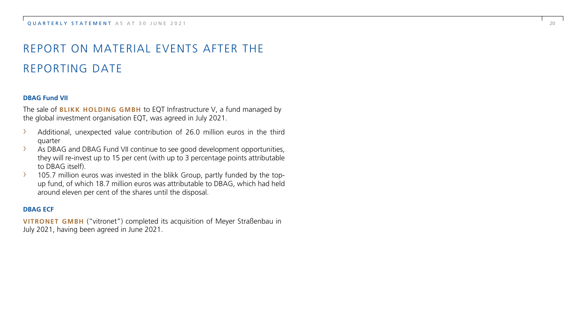# REPORT ON MATERIAL EVENTS AFTER THE REPORTING DATE

#### **DBAG Fund VII**

The sale of **BLIKK HOLDING GMBH** to EQT Infrastructure V, a fund managed by the global investment organisation EQT, was agreed in July 2021.

- › Additional, unexpected value contribution of 26.0 million euros in the third quarter
- › As DBAG and DBAG Fund VII continue to see good development opportunities, they will re -invest up to 15 per cent (with up to 3 percentage points attributable to DBAG itself).
- $\geq$  105.7 million euros was invested in the blikk Group, partly funded by the topup fund, of which 18.7 million euros was attributable to DBAG, which had held around eleven per cent of the shares until the disposal.

#### **DBAG ECF**

**VITRONET GMBH** ("vitronet") completed its acquisition of Meyer Straßenbau in July 2021, having been agreed in June 2021.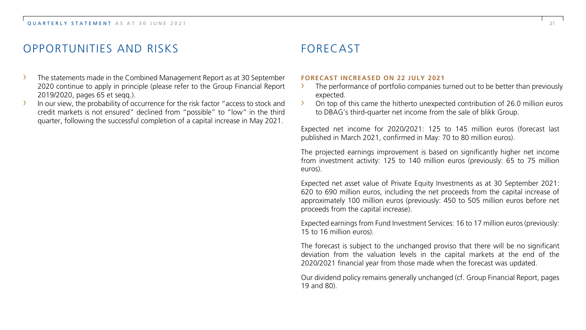# OPPORTUNITIES AND RISKS

- The statements made in the Combined Management Report as at 30 September 2020 continue to apply in principle (please refer to the Group Financial Report 2019/2020, pages 65 et seqq.).
- In our view, the probability of occurrence for the risk factor "access to stock and credit markets is not ensured" declined from "possible" to "low" in the third quarter, following the successful completion of a capital increase in May 2021.

# FORECAST

#### **FORECAST INCREASED ON 22 JULY 2021**

- The performance of portfolio companies turned out to be better than previously expected.
- › On top of this came the hitherto unexpected contribution of 26.0 million euros to DBAG's third-quarter net income from the sale of blikk Group.

Expected net income for 2020/2021: 125 to 145 million euros (forecast last published in March 2021, confirmed in May: 70 to 80 million euros).

The projected earnings improvement is based on significantly higher net income from investment activity: 125 to 140 million euros (previously: 65 to 75 million euros).

Expected net asset value of Private Equity Investments as at 30 September 2021: 620 to 690 million euros, including the net proceeds from the capital increase of approximately 100 million euros (previously: 450 to 505 million euros before net proceeds from the capital increase).

Expected earnings from Fund Investment Services: 16 to 17 million euros (previously: 15 to 16 million euros).

The forecast is subject to the unchanged proviso that there will be no significant deviation from the valuation levels in the capital markets at the end of the 2020/2021 financial year from those made when the forecast was updated.

Our dividend policy remains generally unchanged (cf. Group Financial Report, pages 19 and 80).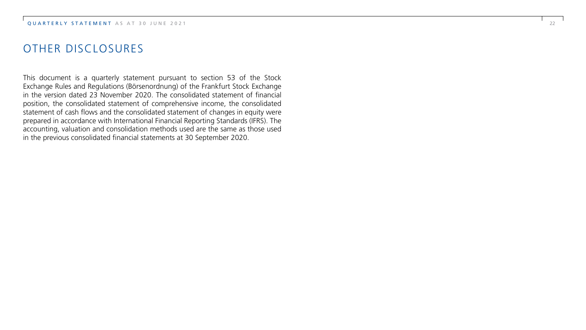# OTHER DISCLOSURES

This document is a quarterly statement pursuant to section 53 of the Stock Exchange Rules and Regulations (Börsenordnung) of the Frankfurt Stock Exchange in the version dated 23 November 2020. The consolidated statement of financial position, the consolidated statement of comprehensive income, the consolidated statement of cash flows and the consolidated statement of changes in equity were prepared in accordance with International Financial Reporting Standards (IFRS). The accounting, valuation and consolidation methods used are the same as those used in the previous consolidated financial statements at 30 September 2020.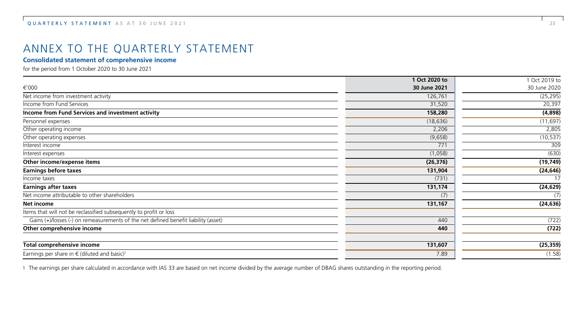# ANNEX TO THE QUARTERLY STATEMENT

#### **Consolidated statement of comprehensive income**

for the period from 1 October 2020 to 30 June 2021

|                                                                                     | 1 Oct 2020 to | 1 Oct 2019 to |
|-------------------------------------------------------------------------------------|---------------|---------------|
| €'000                                                                               | 30 June 2021  | 30 June 2020  |
| Net income from investment activity                                                 | 126,761       | (25, 295)     |
| Income from Fund Services                                                           | 31,520        | 20,397        |
| Income from Fund Services and investment activity                                   | 158,280       | (4,898)       |
| Personnel expenses                                                                  | (18, 636)     | (11, 697)     |
| Other operating income                                                              | 2,206         | 2,805         |
| Other operating expenses                                                            | (9,658)       | (10, 537)     |
| Interest income                                                                     | 771           | 309           |
| Interest expenses                                                                   | (1,058)       | (630)         |
| Other income/expense items                                                          | (26, 376)     | (19, 749)     |
| <b>Earnings before taxes</b>                                                        | 131,904       | (24, 646)     |
| Income taxes                                                                        | (731)         | 17            |
| <b>Earnings after taxes</b>                                                         | 131,174       | (24, 629)     |
| Net income attributable to other shareholders                                       | (7)           | (7)           |
| Net income                                                                          | 131,167       | (24, 636)     |
| Items that will not be reclassified subsequently to profit or loss                  |               |               |
| Gains (+)/losses (-) on remeasurements of the net defined benefit liability (asset) | 440           | (722)         |
| Other comprehensive income                                                          | 440           | (722)         |
| Total comprehensive income                                                          | 131,607       | (25, 359)     |
| Earnings per share in $\in$ (diluted and basic) <sup>1</sup>                        | 7.89          | (1.58)        |

1 The earnings per share calculated in accordance with IAS 33 are based on net income divided by the average number of DBAG shares outstanding in the reporting period.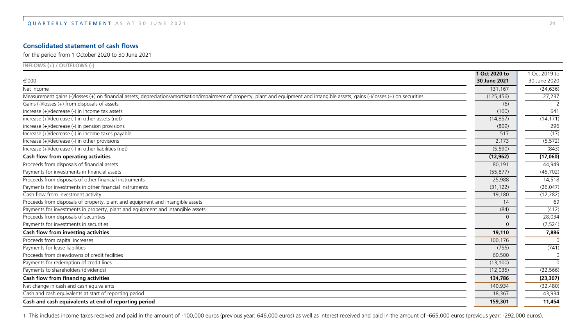#### **Consolidated statement of cash flows**

for the period from 1 October 2020 to 30 June 2021

| $INFLOWS (+) / OUTFLOWS (-)$                                                                                                                                                          |               |               |
|---------------------------------------------------------------------------------------------------------------------------------------------------------------------------------------|---------------|---------------|
|                                                                                                                                                                                       | 1 Oct 2020 to | 1 Oct 2019 to |
| €'000                                                                                                                                                                                 | 30 June 2021  | 30 June 2020  |
| Net income                                                                                                                                                                            | 131,167       | (24, 636)     |
| Measurement gains (-)/losses (+) on financial assets, depreciation/amortisation/impairment of property, plant and equipment and intangible assets, gains (-)/losses (+) on securities | (125, 456)    | 27,237        |
| Gains (-)/losses (+) from disposals of assets                                                                                                                                         | (6)           |               |
| increase (+)/decrease (-) in income tax assets                                                                                                                                        | (100)         | 641           |
| increase (+)/decrease (-) in other assets (net)                                                                                                                                       | (14, 857)     | (14, 171)     |
| increase (+)/decrease (-) in pension provisions                                                                                                                                       | (809)         | 296           |
| Increase (+)/decrease (-) in income taxes payable                                                                                                                                     | 517           | (17)          |
| Increase (+)/decrease (-) in other provisions                                                                                                                                         | 2,173         | (5, 572)      |
| Increase (+)/decrease (-) in other liabilities (net)                                                                                                                                  | (5, 590)      | (843)         |
| Cash flow from operating activities                                                                                                                                                   | (12, 962)     | (17,060)      |
| Proceeds from disposals of financial assets                                                                                                                                           | 80,191        | 44,949        |
| Payments for investments in financial assets                                                                                                                                          | (55, 877)     | (45, 702)     |
| Proceeds from disposals of other financial instruments                                                                                                                                | 25,988        | 14,518        |
| Payments for investments in other financial instruments                                                                                                                               | (31, 122)     | (26, 047)     |
| Cash flow from investment activity                                                                                                                                                    | 19,180        | (12, 282)     |
| Proceeds from disposals of property, plant and equipment and intangible assets                                                                                                        | 14            | 69            |
| Payments for investments in property, plant and equipment and intangible assets                                                                                                       | (84)          | (412)         |
| Proceeds from disposals of securities                                                                                                                                                 | $\Omega$      | 28,034        |
| Payments for investments in securities                                                                                                                                                | $\Omega$      | (7, 524)      |
| Cash flow from investing activities                                                                                                                                                   | 19,110        | 7,886         |
| Proceeds from capital increases                                                                                                                                                       | 100,176       | $\Omega$      |
| Payments for lease liabilities                                                                                                                                                        | (755)         | (741)         |
| Proceeds from drawdowns of credit facilities                                                                                                                                          | 60,500        | $\Omega$      |
| Payments for redemption of credit lines                                                                                                                                               | (13, 100)     | $\Omega$      |
| Payments to shareholders (dividends)                                                                                                                                                  | (12, 035)     | (22, 566)     |
| Cash flow from financing activities                                                                                                                                                   | 134,786       | (23, 307)     |
| Net change in cash and cash equivalents                                                                                                                                               | 140,934       | (32, 480)     |
| Cash and cash equivalents at start of reporting period                                                                                                                                | 18,367        | 43,934        |
| Cash and cash equivalents at end of reporting period                                                                                                                                  | 159,301       | 11,454        |

1 This includes income taxes received and paid in the amount of -100,000 euros (previous year: 646,000 euros) as well as interest received and paid in the amount of -665,000 euros (previous year: -292,000 euros).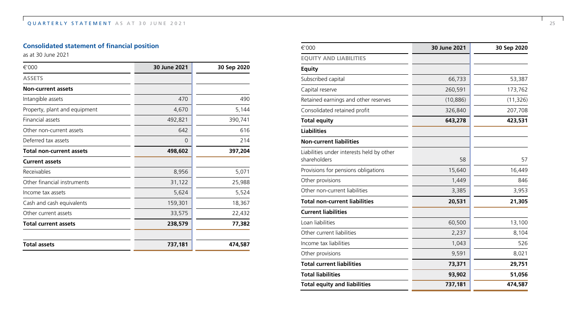### **Consolidated statement of financial position**

as at 30 June 2021

| €'000                           | 30 June 2021 | 30 Sep 2020 |
|---------------------------------|--------------|-------------|
| <b>ASSETS</b>                   |              |             |
| <b>Non-current assets</b>       |              |             |
| Intangible assets               | 470          | 490         |
| Property, plant and equipment   | 4,670        | 5,144       |
| Financial assets                | 492,821      | 390,741     |
| Other non-current assets        | 642          | 616         |
| Deferred tax assets             | 0            | 214         |
| <b>Total non-current assets</b> | 498,602      | 397,204     |
| <b>Current assets</b>           |              |             |
| Receivables                     | 8,956        | 5,071       |
| Other financial instruments     | 31,122       | 25,988      |
| Income tax assets               | 5,624        | 5,524       |
| Cash and cash equivalents       | 159,301      | 18,367      |
| Other current assets            | 33,575       | 22,432      |
| <b>Total current assets</b>     | 238,579      | 77,382      |
| <b>Total assets</b>             | 737,181      | 474,587     |

| €'000                                                     | 30 June 2021 | 30 Sep 2020 |
|-----------------------------------------------------------|--------------|-------------|
| <b>EQUITY AND LIABILITIES</b>                             |              |             |
| <b>Equity</b>                                             |              |             |
| Subscribed capital                                        | 66,733       | 53,387      |
| Capital reserve                                           | 260,591      | 173,762     |
| Retained earnings and other reserves                      | (10, 886)    | (11, 326)   |
| Consolidated retained profit                              | 326,840      | 207,708     |
| <b>Total equity</b>                                       | 643,278      | 423,531     |
| <b>Liabilities</b>                                        |              |             |
| <b>Non-current liabilities</b>                            |              |             |
| Liabilities under interests held by other<br>shareholders | 58           | 57          |
| Provisions for pensions obligations                       | 15,640       | 16,449      |
| Other provisions                                          | 1,449        | 846         |
| Other non-current liabilities                             | 3,385        | 3,953       |
| <b>Total non-current liabilities</b>                      | 20,531       | 21,305      |
| <b>Current liabilities</b>                                |              |             |
| Loan liabilities                                          | 60,500       | 13,100      |
| Other current liabilities                                 | 2,237        | 8,104       |
| Income tax liabilities                                    | 1,043        | 526         |
| Other provisions                                          | 9,591        | 8,021       |
| <b>Total current liabilities</b>                          | 73,371       | 29,751      |
| <b>Total liabilities</b>                                  | 93,902       | 51,056      |
| <b>Total equity and liabilities</b>                       | 737,181      | 474,587     |
|                                                           |              |             |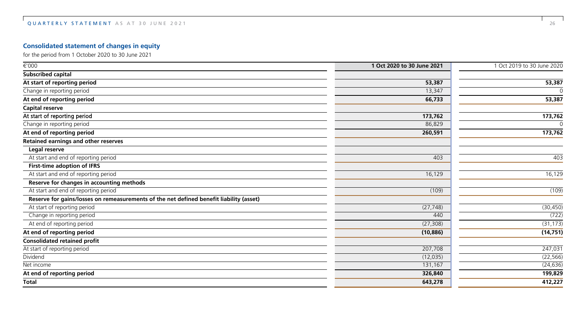### **Consolidated statement of changes in equity**

for the period from 1 October 2020 to 30 June 2021

| €'000                                                                                   | 1 Oct 2020 to 30 June 2021 | 1 Oct 2019 to 30 June 2020 |
|-----------------------------------------------------------------------------------------|----------------------------|----------------------------|
| Subscribed capital                                                                      |                            |                            |
| At start of reporting period                                                            | 53,387                     | 53,387                     |
| Change in reporting period                                                              | 13,347                     |                            |
| At end of reporting period                                                              | 66,733                     | 53,387                     |
| Capital reserve                                                                         |                            |                            |
| At start of reporting period                                                            | 173,762                    | 173,762                    |
| Change in reporting period                                                              | 86,829                     | $\cap$                     |
| At end of reporting period                                                              | 260,591                    | 173,762                    |
| Retained earnings and other reserves                                                    |                            |                            |
| Legal reserve                                                                           |                            |                            |
| At start and end of reporting period                                                    | 403                        | 403                        |
| First-time adoption of IFRS                                                             |                            |                            |
| At start and end of reporting period                                                    | 16,129                     | 16,129                     |
| Reserve for changes in accounting methods                                               |                            |                            |
| At start and end of reporting period                                                    | (109)                      | (109)                      |
| Reserve for gains/losses on remeasurements of the net defined benefit liability (asset) |                            |                            |
| At start of reporting period                                                            | (27, 748)                  | (30, 450)                  |
| Change in reporting period                                                              | 440                        | (722)                      |
| At end of reporting period                                                              | (27, 308)                  | (31, 173)                  |
| At end of reporting period                                                              | (10, 886)                  | (14, 751)                  |
| <b>Consolidated retained profit</b>                                                     |                            |                            |
| At start of reporting period                                                            | 207,708                    | 247,031                    |
| Dividend                                                                                | (12, 035)                  | (22, 566)                  |
| Net income                                                                              | 131,167                    | (24, 636)                  |
| At end of reporting period                                                              | 326,840                    | 199,829                    |
| <b>Total</b>                                                                            | 643,278                    | 412,227                    |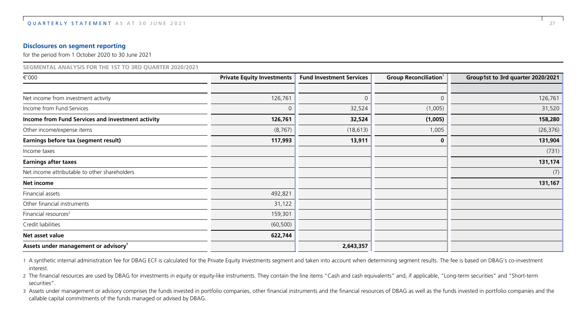#### **Disclosures on segment reporting**

for the period from 1 October 2020 to 30 June 2021

| SEGMENTAL ANALYSIS FOR THE 1ST TO 3RD QUARTER 2020/2021  |                                   |                                 |                                          |                                   |
|----------------------------------------------------------|-----------------------------------|---------------------------------|------------------------------------------|-----------------------------------|
| €'000                                                    | <b>Private Equity Investments</b> | <b>Fund Investment Services</b> | <b>Group Reconciliation</b> <sup>1</sup> | Group1st to 3rd quarter 2020/2021 |
|                                                          |                                   |                                 |                                          |                                   |
| Net income from investment activity                      | 126,761                           | $\Omega$                        | $\Omega$                                 | 126,761                           |
| Income from Fund Services                                | $\Omega$                          | 32,524                          | (1,005)                                  | 31,520                            |
| <b>Income from Fund Services and investment activity</b> | 126,761                           | 32,524                          | (1,005)                                  | 158,280                           |
| Other income/expense items                               | (8, 767)                          | (18, 613)                       | 1,005                                    | (26, 376)                         |
| Earnings before tax (segment result)                     | 117,993                           | 13,911                          | 0                                        | 131,904                           |
| Income taxes                                             |                                   |                                 |                                          | (731)                             |
| Earnings after taxes                                     |                                   |                                 |                                          | 131,174                           |
| Net income attributable to other shareholders            |                                   |                                 |                                          | (7)                               |
| Net income                                               |                                   |                                 |                                          | 131,167                           |
| Financial assets                                         | 492,821                           |                                 |                                          |                                   |
| Other financial instruments                              | 31,122                            |                                 |                                          |                                   |
| Financial resources <sup>2</sup>                         | 159,301                           |                                 |                                          |                                   |
| Credit liabilities                                       | (60, 500)                         |                                 |                                          |                                   |
| Net asset value                                          | 622,744                           |                                 |                                          |                                   |
| Assets under management or advisory <sup>3</sup>         |                                   | 2,643,357                       |                                          |                                   |

1 A synthetic internal administration fee for DBAG ECF is calculated for the Private Equity Investments segment and taken into account when determining segment results. The fee is based on DBAG's co-investment interest.

2 The financial resources are used by DBAG for investments in equity or equity-like instruments. They contain the line items "Cash and cash equivalents" and, if applicable, "Long-term securities" and "Short-term securities".

3 Assets under management or advisory comprises the funds invested in portfolio companies, other financial instruments and the financial resources of DBAG as well as the funds invested in portfolio companies and the callable capital commitments of the funds managed or advised by DBAG.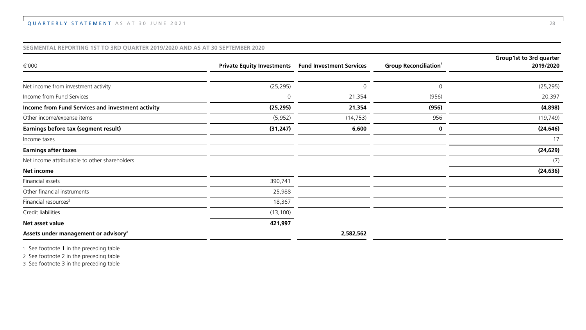#### **SEGMENTAL REPORTING 1ST TO 3RD QUARTER 2019/2020 AND AS AT 30 SEPTEMBER 2020**

|                                                   |                                   |                                 |                             | Group1st to 3rd quarter |
|---------------------------------------------------|-----------------------------------|---------------------------------|-----------------------------|-------------------------|
| €'000                                             | <b>Private Equity Investments</b> | <b>Fund Investment Services</b> | <b>Group Reconciliation</b> | 2019/2020               |
|                                                   |                                   |                                 |                             |                         |
| Net income from investment activity               | (25, 295)                         |                                 | $\Omega$                    | (25, 295)               |
| Income from Fund Services                         |                                   | 21,354                          | (956)                       | 20,397                  |
| Income from Fund Services and investment activity | (25, 295)                         | 21,354                          | (956)                       | (4,898)                 |
| Other income/expense items                        | (5,952)                           | (14, 753)                       | 956                         | (19, 749)               |
| Earnings before tax (segment result)              | (31, 247)                         | 6,600                           | 0                           | (24, 646)               |
| Income taxes                                      |                                   |                                 |                             | 17                      |
| <b>Earnings after taxes</b>                       |                                   |                                 |                             | (24, 629)               |
| Net income attributable to other shareholders     |                                   |                                 |                             | (7)                     |
| Net income                                        |                                   |                                 |                             | (24, 636)               |
| Financial assets                                  | 390,741                           |                                 |                             |                         |
| Other financial instruments                       | 25,988                            |                                 |                             |                         |
| Financial resources <sup>2</sup>                  | 18,367                            |                                 |                             |                         |
| Credit liabilities                                | (13, 100)                         |                                 |                             |                         |
| Net asset value                                   | 421,997                           |                                 |                             |                         |
| Assets under management or advisory <sup>3</sup>  |                                   | 2,582,562                       |                             |                         |

1 See footnote 1 in the preceding table

2 See footnote 2 in the preceding table

3 See footnote 3 in the preceding table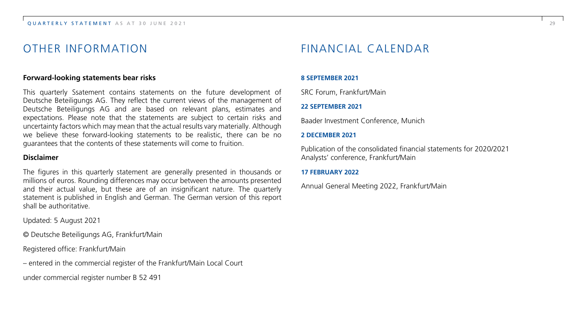### OTHER INFORMATION

#### **Forward-looking statements bear risks**

This quarterly Ssatement contains statements on the future development of Deutsche Beteiligungs AG. They reflect the current views of the management of Deutsche Beteiligungs AG and are based on relevant plans, estimates and expectations. Please note that the statements are subject to certain risks and uncertainty factors which may mean that the actual results vary materially. Although we believe these forward-looking statements to be realistic, there can be no guarantees that the contents of these statements will come to fruition.

#### **Disclaimer**

The figures in this quarterly statement are generally presented in thousands or millions of euros. Rounding differences may occur between the amounts presented and their actual value, but these are of an insignificant nature. The quarterly statement is published in English and German. The German version of this report shall be authoritative.

Updated: 5 August 2021

© Deutsche Beteiligungs AG, Frankfurt/Main

Registered office: Frankfurt/Main

– entered in the commercial register of the Frankfurt/Main Local Court

under commercial register number B 52 491

## FINANCIAL CALENDAR

#### **8 SEPTEMBER 2021**

SRC Forum, Frankfurt/Main

#### **22 SEPTEMBER 2021**

Baader Investment Conference, Munich

#### **2 DECEMBER 2021**

Publication of the consolidated financial statements for 2020/2021 Analysts' conference, Frankfurt/Main

#### **17 FEBRUARY 2022**

Annual General Meeting 2022, Frankfurt/Main